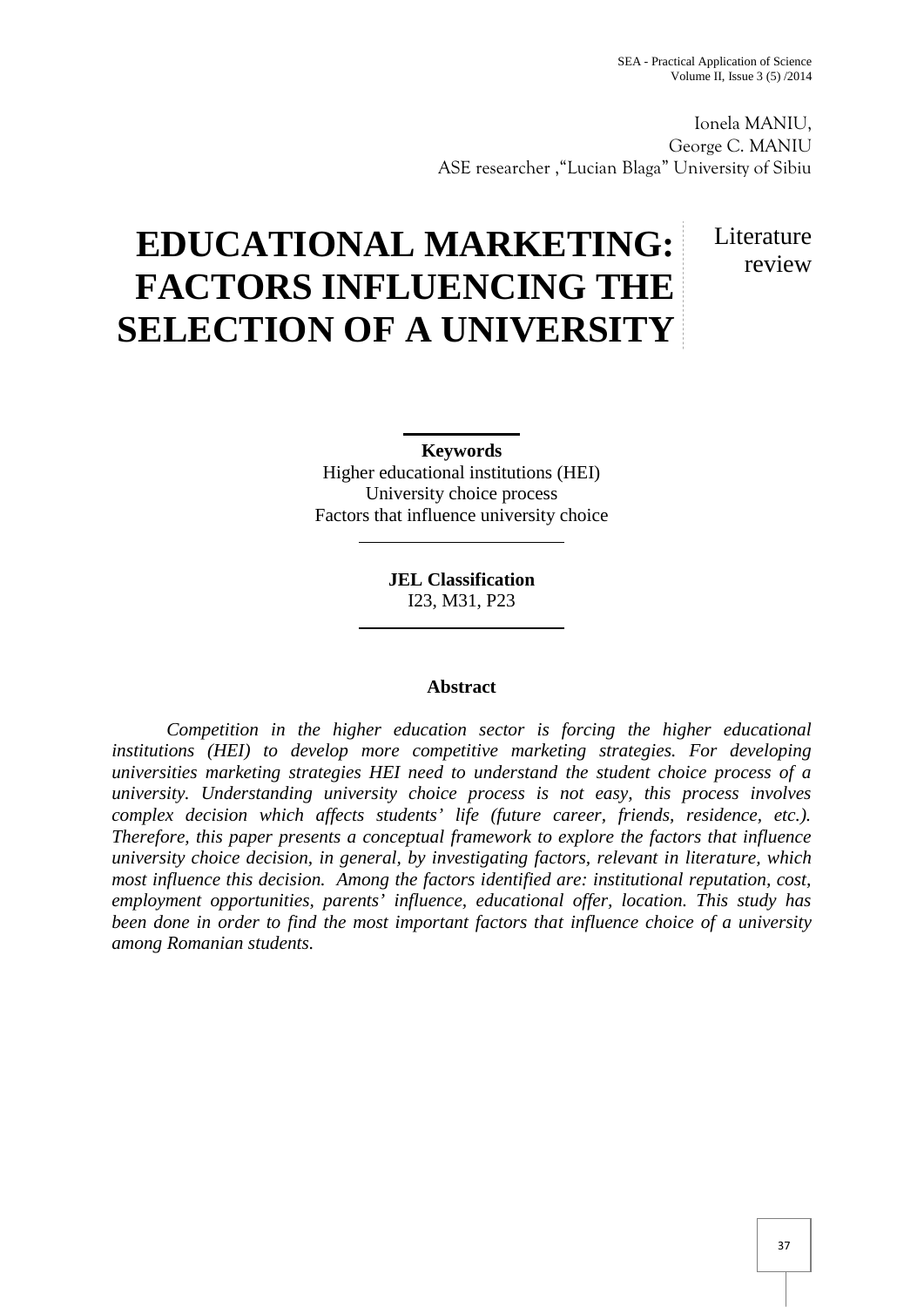Ionela MANIU, George C. MANIU ASE researcher ,"Lucian Blaga" University of Sibiu

# **EDUCATIONAL MARKETING: FACTORS INFLUENCING THE SELECTION OF A UNIVERSITY**

# Literature review

**Keywords** Higher educational institutions (HEI) University choice process Factors that influence university choice

> **JEL Classification** I23, M31, P23

# **Abstract**

*Competition in the higher education sector is forcing the higher educational institutions (HEI) to develop more competitive marketing strategies. For developing universities marketing strategies HEI need to understand the student choice process of a university. Understanding university choice process is not easy, this process involves complex decision which affects students' life (future career, friends, residence, etc.). Therefore, this paper presents a conceptual framework to explore the factors that influence university choice decision, in general, by investigating factors, relevant in literature, which most influence this decision. Among the factors identified are: institutional reputation, cost, employment opportunities, parents' influence, educational offer, location. This study has been done in order to find the most important factors that influence choice of a university among Romanian students.*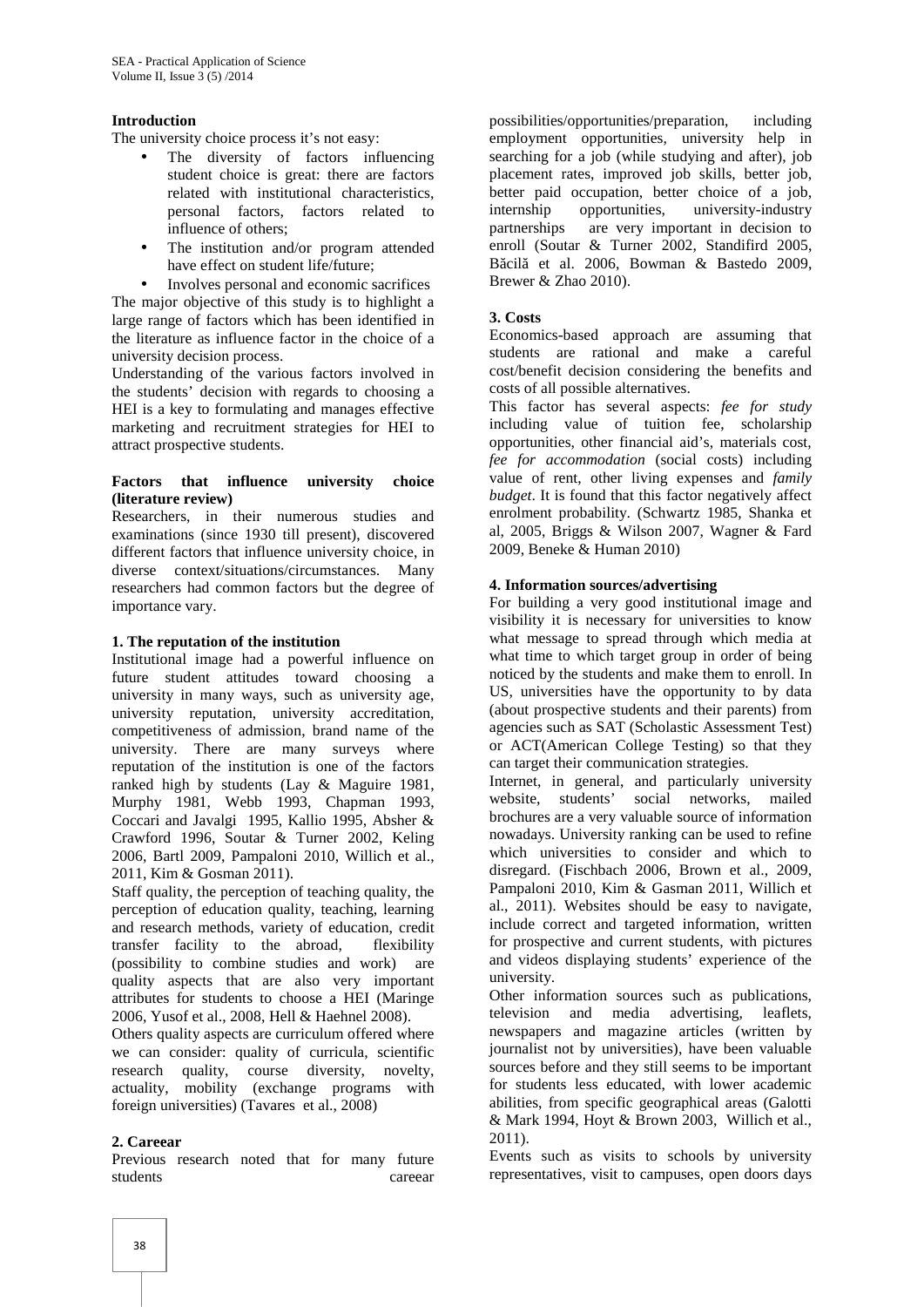#### **Introduction**

The university choice process it's not easy:

- The diversity of factors influencing student choice is great: there are factors related with institutional characteristics, personal factors, factors related to internship influence of others:<br>partnerships influence of others;
- The institution and/or program attended have effect on student life/future;
- Involves personal and economic sacrifices

The major objective of this study is to highlight a large range of factors which has been identified in the literature as influence factor in the choice of a university decision process.

Understanding of the various factors involved in the students' decision with regards to choosing a HEI is a key to formulating and manages effective marketing and recruitment strategies for HEI to attract prospective students.

#### **Factors that influence university choice (literature review)**

Researchers, in their numerous studies and examinations (since 1930 till present), discovered different factors that influence university choice, in diverse context/situations/circumstances. Many researchers had common factors but the degree of importance vary.

#### **1. The reputation of the institution**

Institutional image had a powerful influence on future student attitudes toward choosing a university in many ways, such as university age, university reputation, university accreditation, competitiveness of admission, brand name of the university. There are many surveys where reputation of the institution is one of the factors ranked high by students (Lay & Maguire 1981, Murphy 1981, Webb 1993, Chapman 1993, Coccari and Javalgi 1995, Kallio 1995, Absher & Crawford 1996, Soutar & Turner 2002, Keling 2006, Bartl 2009, Pampaloni 2010, Willich et al., 2011, Kim & Gosman 2011).

Staff quality, the perception of teaching quality, the perception of education quality, teaching, learning and research methods, variety of education, credit transfer facility to the abroad, flexibility (possibility to combine studies and work) are quality aspects that are also very important attributes for students to choose a HEI (Maringe 2006, Yusof et al., 2008, Hell & Haehnel 2008).

Others quality aspects are curriculum offered where we can consider: quality of curricula, scientific research quality, course diversity, novelty, actuality, mobility (exchange programs with foreign universities) (Tavares et al., 2008)

#### **2. Careear**

Previous research noted that for many future students careear

possibilities/opportunities/preparation, including employment opportunities, university help in searching for a job (while studying and after), job placement rates, improved job skills, better job, better paid occupation, better choice of a job, opportunities, university-industry are very important in decision to enroll (Soutar & Turner 2002, Standifird 2005, B cil et al. 2006, Bowman & Bastedo 2009, Brewer & Zhao 2010).

#### **3. Costs**

Economics-based approach are assuming that students are rational and make a careful cost/benefit decision considering the benefits and costs of all possible alternatives.

This factor has several aspects: *fee for study* including value of tuition fee, scholarship opportunities, other financial aid's, materials cost, *fee for accommodation* (social costs) including value of rent, other living expenses and *family budget*. It is found that this factor negatively affect enrolment probability. (Schwartz 1985, Shanka et al, 2005, Briggs & Wilson 2007, Wagner & Fard 2009, Beneke & Human 2010)

#### **4. Information sources/advertising**

For building a very good institutional image and visibility it is necessary for universities to know what message to spread through which media at what time to which target group in order of being noticed by the students and make them to enroll. In US, universities have the opportunity to by data (about prospective students and their parents) from agencies such as SAT (Scholastic Assessment Test) or ACT(American College Testing) so that they can target their communication strategies.

Internet, in general, and particularly university website, students' social networks, mailed brochures are a very valuable source of information nowadays. University ranking can be used to refine which universities to consider and which to disregard. (Fischbach 2006, Brown et al., 2009, Pampaloni 2010, Kim & Gasman 2011, Willich et al., 2011). Websites should be easy to navigate, include correct and targeted information, written for prospective and current students, with pictures and videos displaying students' experience of the university.

Other information sources such as publications, television and media advertising, leaflets, newspapers and magazine articles (written by journalist not by universities), have been valuable sources before and they still seems to be important for students less educated, with lower academic abilities, from specific geographical areas (Galotti & Mark 1994, Hoyt & Brown 2003, Willich et al., 2011).

Events such as visits to schools by university representatives, visit to campuses, open doors days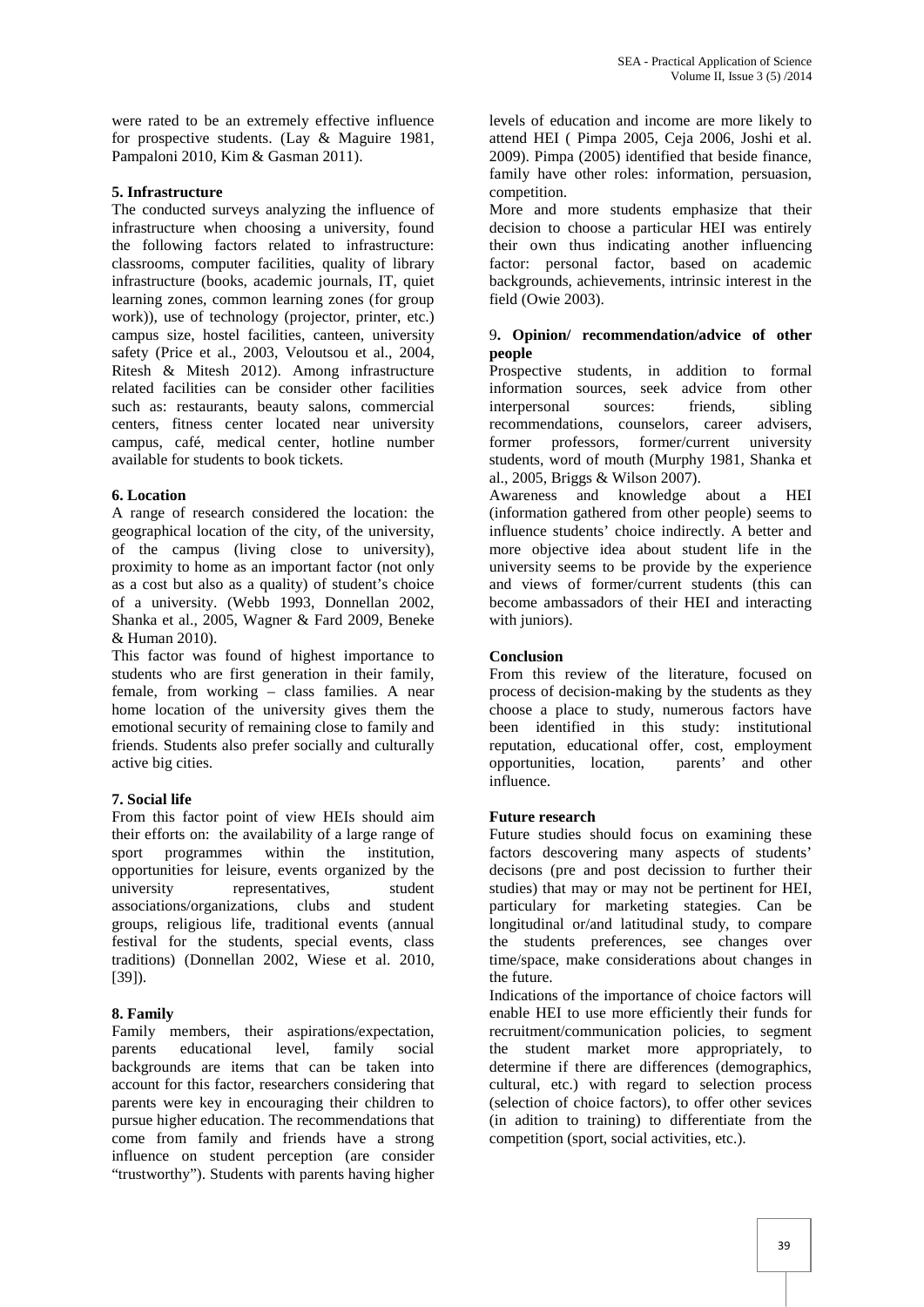were rated to be an extremely effective influence for prospective students. (Lay & Maguire 1981, Pampaloni 2010, Kim & Gasman 2011).

#### **5. Infrastructure**

The conducted surveys analyzing the influence of infrastructure when choosing a university, found the following factors related to infrastructure: classrooms, computer facilities, quality of library infrastructure (books, academic journals, IT, quiet learning zones, common learning zones (for group work)), use of technology (projector, printer, etc.) campus size, hostel facilities, canteen, university safety (Price et al., 2003, Veloutsou et al., 2004, Ritesh & Mitesh 2012). Among infrastructure related facilities can be consider other facilities such as: restaurants, beauty salons, commercial centers, fitness center located near university recommendations, co<br>campus, café, medical center, hotline number former professors, campus, café, medical center, hotline number available for students to book tickets.

#### **6. Location**

A range of research considered the location: the geographical location of the city, of the university, of the campus (living close to university), proximity to home as an important factor (not only as a cost but also as a quality) of student's choice of a university. (Webb 1993, Donnellan 2002, Shanka et al., 2005, Wagner & Fard 2009, Beneke & Human 2010).

This factor was found of highest importance to students who are first generation in their family, female, from working – class families. A near home location of the university gives them the emotional security of remaining close to family and friends. Students also prefer socially and culturally active big cities.

# **7. Social life**

From this factor point of view HEIs should aim their efforts on: the availability of a large range of sport programmes within the institution, opportunities for leisure, events organized by the university representatives, student associations/organizations, clubs and student groups, religious life, traditional events (annual festival for the students, special events, class traditions) (Donnellan 2002, Wiese et al. 2010, [39]).

# **8. Family**

Family members, their aspirations/expectation, parents educational level, family social backgrounds are items that can be taken into account for this factor, researchers considering that parents were key in encouraging their children to pursue higher education. The recommendations that come from family and friends have a strong influence on student perception (are consider "trustworthy"). Students with parents having higher

levels of education and income are more likely to attend HEI ( Pimpa 2005, Ceja 2006, Joshi et al. 2009). Pimpa (2005) identified that beside finance, family have other roles: information, persuasion, competition.

More and more students emphasize that their decision to choose a particular HEI was entirely their own thus indicating another influencing factor: personal factor, based on academic backgrounds, achievements, intrinsic interest in the field (Owie 2003).

## 9**. Opinion/ recommendation/advice of other people**

Prospective students, in addition to formal information sources, seek advice from other interpersonal sources: friends, sibling recommendations, counselors, career advisers, former/current university students, word of mouth (Murphy 1981, Shanka et al., 2005, Briggs & Wilson 2007).

Awareness and knowledge about a HEI (information gathered from other people) seems to influence students' choice indirectly. A better and more objective idea about student life in the university seems to be provide by the experience and views of former/current students (this can become ambassadors of their HEI and interacting with juniors).

## **Conclusion**

From this review of the literature, focused on process of decision-making by the students as they choose a place to study, numerous factors have been identified in this study: institutional reputation, educational offer, cost, employment opportunities, location, parents' and other influence.

# **Future research**

Future studies should focus on examining these factors descovering many aspects of students' decisons (pre and post decission to further their studies) that may or may not be pertinent for HEI, particulary for marketing stategies. Can be longitudinal or/and latitudinal study, to compare the students preferences, see changes over time/space, make considerations about changes in the future.

Indications of the importance of choice factors will enable HEI to use more efficiently their funds for recruitment/communication policies, to segment the student market more appropriately, to determine if there are differences (demographics, cultural, etc.) with regard to selection process (selection of choice factors), to offer other sevices (in adition to training) to differentiate from the competition (sport, social activities, etc.).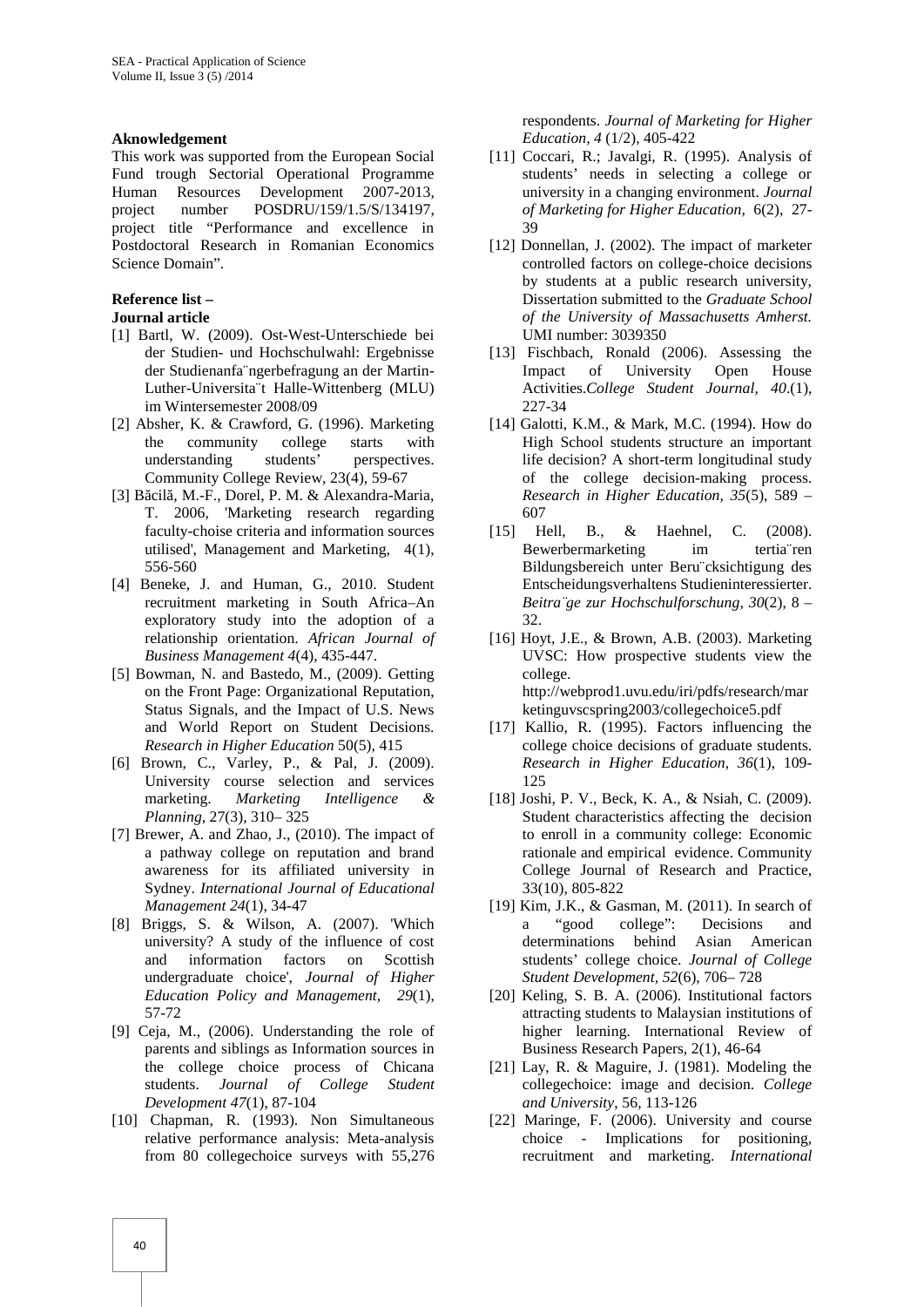#### **Aknowledgement**

This work was supported from the European Social Fund trough Sectorial Operational Programme Human Resources Development 2007-2013, project number POSDRU/159/1.5/S/134197, project title "Performance and excellence in Postdoctoral Research in Romanian Economics Science Domain".

# **Reference list –**

**Journal article**

- [1] Bartl, W. (2009). Ost-West-Unterschiede bei der Studien- und Hochschulwahl: Ergebnisse der Studienanfa¨ngerbefragung an der Martin- Luther-Universita¨t Halle-Wittenberg (MLU) im Wintersemester 2008/09
- [2] Absher, K. & Crawford, G. (1996). Marketing the community college starts with understanding students' perspectives. Community College Review, 23(4), 59-67
- [3] B cil, M.-F., Dorel, P. M. & Alexandra-Maria, T. 2006, 'Marketing research regarding faculty-choise criteria and information sources utilised', Management and Marketing, 4(1), 556-560
- [4] Beneke, J. and Human, G., 2010. Student recruitment marketing in South Africa–An exploratory study into the adoption of a relationship orientation. *African Journal of Business Management 4*(4), 435-447.
- [5] Bowman, N. and Bastedo, M., (2009). Getting on the Front Page: Organizational Reputation, Status Signals, and the Impact of U.S. News and World Report on Student Decisions. *Research in Higher Education* 50(5), 415
- [6] Brown, C., Varley, P., & Pal, J. (2009). University course selection and services marketing. *Marketing Intelligence & Planning*, 27(3), 310– 325
- [7] Brewer, A. and Zhao, J., (2010). The impact of a pathway college on reputation and brand awareness for its affiliated university in Sydney. *International Journal of Educational Management 24*(1), 34-47
- [8] Briggs, S. & Wilson, A. (2007). 'Which university? A study of the influence of cost and information factors on Scottish undergraduate choice', *Journal of Higher Education Policy and Management, 29*(1), 57-72
- [9] Ceja, M., (2006). Understanding the role of parents and siblings as Information sources in the college choice process of Chicana students. *Journal of College Student Development 47*(1), 87-104
- [10] Chapman, R. (1993). Non Simultaneous relative performance analysis: Meta-analysis from 80 collegechoice surveys with 55,276

respondents. *Journal of Marketing for Higher Education, 4* (1/2), 405-422

- [11] Coccari, R.; Javalgi, R. (1995). Analysis of students' needs in selecting a college or university in a changing environment. *Journal of Marketing for Higher Education,* 6(2), 27- 39
- [12] Donnellan, J. (2002). The impact of marketer controlled factors on college-choice decisions by students at a public research university, Dissertation submitted to the *Graduate School of the University of Massachusetts Amherst.* UMI number: 3039350
- [13] Fischbach, Ronald (2006). Assessing the Impact of University Open House Activities.*College Student Journal, 40*.(1), 227-34
- [14] Galotti, K.M., & Mark, M.C. (1994). How do High School students structure an important life decision? A short-term longitudinal study of the college decision-making process. *Research in Higher Education, 35*(5), 589 – 607
- [15] Hell, B., & Haehnel, C. (2008). Bewerbermarketing im tertia¨ren Bildungsbereich unter Beru¨cksichtigung des Entscheidungsverhaltens Studieninteressierter. *Beitra¨ge zur Hochschulforschung, 30*(2), 8 – 32.
- [16] Hoyt, J.E., & Brown, A.B. (2003). Marketing UVSC: How prospective students view the college. http://webprod1.uvu.edu/iri/pdfs/research/mar ketinguvscspring2003/collegechoice5.pdf
- [17] Kallio, R. (1995). Factors influencing the college choice decisions of graduate students. *Research in Higher Education, 36*(1), 109- 125
- [18] Joshi, P. V., Beck, K. A., & Nsiah, C. (2009). Student characteristics affecting the decision to enroll in a community college: Economic rationale and empirical evidence. Community College Journal of Research and Practice, 33(10), 805-822
- [19] Kim, J.K., & Gasman, M. (2011). In search of a "good college": Decisions and determinations behind Asian American students' college choice. *Journal of College Student Development, 52*(6), 706– 728
- [20] Keling, S. B. A. (2006). Institutional factors attracting students to Malaysian institutions of higher learning. International Review of Business Research Papers, 2(1), 46-64
- [21] Lay, R. & Maguire, J. (1981). Modeling the collegechoice: image and decision. *College and University*, 56, 113-126
- [22] Maringe, F. (2006). University and course choice - Implications for positioning, recruitment and marketing. *International*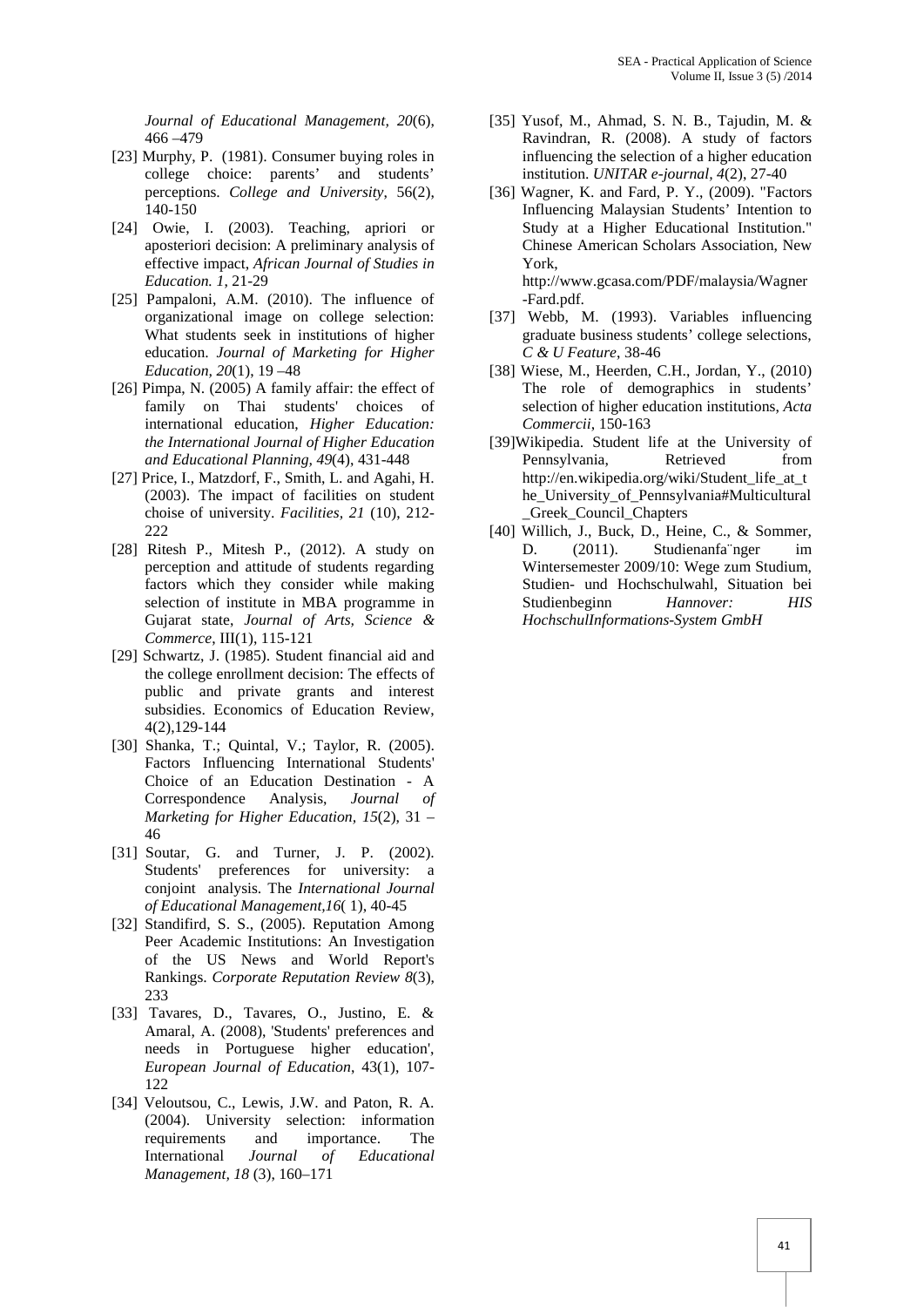*Journal of Educational Management, 20*(6), 466 –479

- [23] Murphy, P. (1981). Consumer buying roles in college choice: parents' and students' perceptions. *College and University*, 56(2), 140-150
- [24] Owie, I. (2003). Teaching, apriori or aposteriori decision: A preliminary analysis of effective impact, *African Journal of Studies in Education. 1*, 21-29
- [25] Pampaloni, A.M. (2010). The influence of organizational image on college selection: What students seek in institutions of higher education. *Journal of Marketing for Higher Education, 20*(1), 19 –48
- [26] Pimpa, N. (2005) A family affair: the effect of family on Thai students' choices of international education, *Higher Education: the International Journal of Higher Education and Educational Planning, 49*(4), 431-448
- [27] Price, I., Matzdorf, F., Smith, L. and Agahi, H. (2003). The impact of facilities on student choise of university. *Facilities, 21* (10), 212- 222
- [28] Ritesh P., Mitesh P., (2012). A study on perception and attitude of students regarding factors which they consider while making selection of institute in MBA programme in Gujarat state, *Journal of Arts, Science & Commerce*, III(1), 115-121
- [29] Schwartz, J. (1985). Student financial aid and the college enrollment decision: The effects of public and private grants and interest subsidies. Economics of Education Review, 4(2),129-144
- [30] Shanka, T.; Quintal, V.; Taylor, R. (2005). Factors Influencing International Students' Choice of an Education Destination - A Correspondence Analysis, *Journal of Marketing for Higher Education, 15*(2), 31 – 46
- [31] Soutar, G. and Turner, J. P. (2002). Students' preferences for university: a conjoint analysis. The *International Journal of Educational Management,16*( 1), 40-45
- [32] Standifird, S. S., (2005). Reputation Among Peer Academic Institutions: An Investigation of the US News and World Report's Rankings. *Corporate Reputation Review 8*(3), 233
- [33] Tavares, D., Tavares, O., Justino, E. & Amaral, A. (2008), 'Students' preferences and needs in Portuguese higher education', *European Journal of Education*, 43(1), 107- 122
- [34] Veloutsou, C., Lewis, J.W. and Paton, R. A. (2004). University selection: information requirements and importance. The International *Journal of Educational Management, 18* (3), 160–171
- [35] Yusof, M., Ahmad, S. N. B., Tajudin, M. & Ravindran, R. (2008). A study of factors influencing the selection of a higher education institution. *UNITAR e-journal, 4*(2), 27-40
- [36] Wagner, K. and Fard, P. Y., (2009). "Factors Influencing Malaysian Students' Intention to Study at a Higher Educational Institution." Chinese American Scholars Association, New York,

http://www.gcasa.com/PDF/malaysia/Wagner -Fard.pdf.

- [37] Webb, M. (1993). Variables influencing graduate business students' college selections, *C & U Feature*, 38-46
- [38] Wiese, M., Heerden, C.H., Jordan, Y., (2010) The role of demographics in students' selection of higher education institutions, *Acta Commercii*, 150-163
- [39]Wikipedia. Student life at the University of Pennsylvania, Retrieved from http://en.wikipedia.org/wiki/Student\_life\_at\_t he\_University\_of\_Pennsylvania#Multicultural \_Greek\_Council\_Chapters
- [40] Willich, J., Buck, D., Heine, C., & Sommer, D. (2011). Studienanfa nger im Wintersemester 2009/10: Wege zum Studium, Studien- und Hochschulwahl, Situation bei Studienbeginn *Hannover: HIS HochschulInformations-System GmbH*